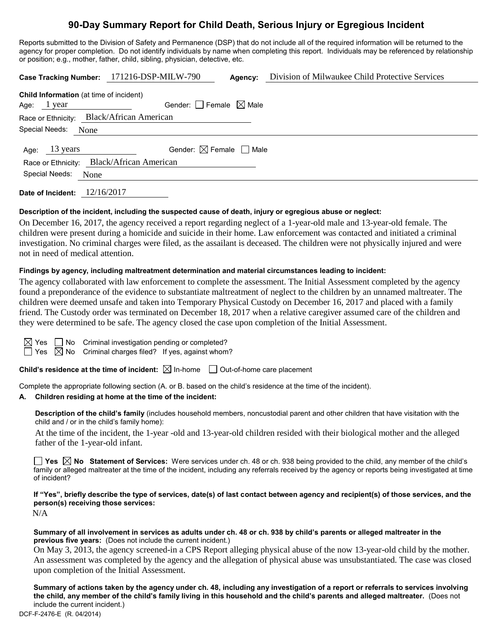# **90-Day Summary Report for Child Death, Serious Injury or Egregious Incident**

Reports submitted to the Division of Safety and Permanence (DSP) that do not include all of the required information will be returned to the agency for proper completion. Do not identify individuals by name when completing this report. Individuals may be referenced by relationship or position; e.g., mother, father, child, sibling, physician, detective, etc.

|                                                     | Case Tracking Number: 171216-DSP-MILW-790 | Agency: | Division of Milwaukee Child Protective Services |  |  |  |
|-----------------------------------------------------|-------------------------------------------|---------|-------------------------------------------------|--|--|--|
| Child Information (at time of incident)             |                                           |         |                                                 |  |  |  |
| Age: $1$ year                                       | Gender: Female $\boxtimes$ Male           |         |                                                 |  |  |  |
| Race or Ethnicity: Black/African American           |                                           |         |                                                 |  |  |  |
| Special Needs:<br>None                              |                                           |         |                                                 |  |  |  |
| 13 years<br>Age:                                    | Gender: $\boxtimes$ Female $\Box$ Male    |         |                                                 |  |  |  |
| <b>Black/African American</b><br>Race or Ethnicity: |                                           |         |                                                 |  |  |  |
| Special Needs:<br>None                              |                                           |         |                                                 |  |  |  |
|                                                     |                                           |         |                                                 |  |  |  |

**Date of Incident:** 12/16/2017

# **Description of the incident, including the suspected cause of death, injury or egregious abuse or neglect:**

On December 16, 2017, the agency received a report regarding neglect of a 1-year-old male and 13-year-old female. The children were present during a homicide and suicide in their home. Law enforcement was contacted and initiated a criminal investigation. No criminal charges were filed, as the assailant is deceased. The children were not physically injured and were not in need of medical attention.

## **Findings by agency, including maltreatment determination and material circumstances leading to incident:**

The agency collaborated with law enforcement to complete the assessment. The Initial Assessment completed by the agency found a preponderance of the evidence to substantiate maltreatment of neglect to the children by an unnamed maltreater. The children were deemed unsafe and taken into Temporary Physical Custody on December 16, 2017 and placed with a family friend. The Custody order was terminated on December 18, 2017 when a relative caregiver assumed care of the children and they were determined to be safe. The agency closed the case upon completion of the Initial Assessment.

 $\Box$  No Criminal investigation pending or completed?  $\boxtimes$  No Criminal charges filed? If yes, against whom?

**Child's residence at the time of incident:**  $\boxtimes$  In-home  $\Box$  Out-of-home care placement

Complete the appropriate following section (A. or B. based on the child's residence at the time of the incident).

## **A. Children residing at home at the time of the incident:**

**Description of the child's family** (includes household members, noncustodial parent and other children that have visitation with the child and / or in the child's family home):

At the time of the incident, the 1-year -old and 13-year-old children resided with their biological mother and the alleged father of the 1-year-old infant.

**Yes No Statement of Services:** Were services under ch. 48 or ch. 938 being provided to the child, any member of the child's family or alleged maltreater at the time of the incident, including any referrals received by the agency or reports being investigated at time of incident?

**If "Yes", briefly describe the type of services, date(s) of last contact between agency and recipient(s) of those services, and the person(s) receiving those services:**

N/A

#### **Summary of all involvement in services as adults under ch. 48 or ch. 938 by child's parents or alleged maltreater in the previous five years:** (Does not include the current incident.)

On May 3, 2013, the agency screened-in a CPS Report alleging physical abuse of the now 13-year-old child by the mother. An assessment was completed by the agency and the allegation of physical abuse was unsubstantiated. The case was closed upon completion of the Initial Assessment.

**Summary of actions taken by the agency under ch. 48, including any investigation of a report or referrals to services involving the child, any member of the child's family living in this household and the child's parents and alleged maltreater.** (Does not include the current incident.)